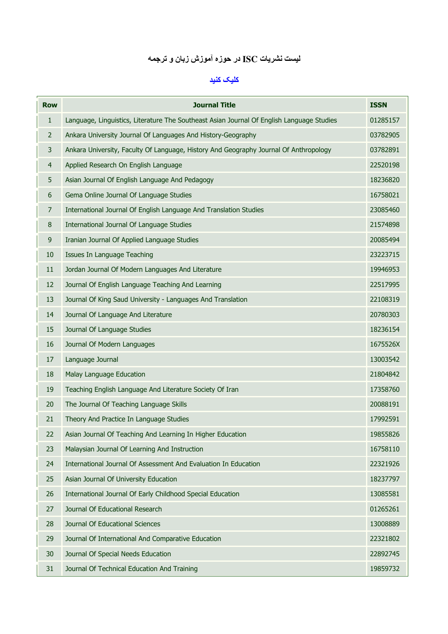# ليست نشريات **ISC** در حوزه آموزش زبان و ترجمه

### کليک کنيد

| <b>Row</b>     | <b>Journal Title</b>                                                                      | <b>ISSN</b> |
|----------------|-------------------------------------------------------------------------------------------|-------------|
| $\mathbf{1}$   | Language, Linguistics, Literature The Southeast Asian Journal Of English Language Studies | 01285157    |
| $\overline{2}$ | Ankara University Journal Of Languages And History-Geography                              | 03782905    |
| 3              | Ankara University, Faculty Of Language, History And Geography Journal Of Anthropology     | 03782891    |
| $\overline{4}$ | Applied Research On English Language                                                      | 22520198    |
| 5              | Asian Journal Of English Language And Pedagogy                                            | 18236820    |
| 6              | Gema Online Journal Of Language Studies                                                   | 16758021    |
| 7              | International Journal Of English Language And Translation Studies                         | 23085460    |
| 8              | International Journal Of Language Studies                                                 | 21574898    |
| 9              | Iranian Journal Of Applied Language Studies                                               | 20085494    |
| 10             | Issues In Language Teaching                                                               | 23223715    |
| 11             | Jordan Journal Of Modern Languages And Literature                                         | 19946953    |
| 12             | Journal Of English Language Teaching And Learning                                         | 22517995    |
| 13             | Journal Of King Saud University - Languages And Translation                               | 22108319    |
| 14             | Journal Of Language And Literature                                                        | 20780303    |
| 15             | Journal Of Language Studies                                                               | 18236154    |
| 16             | Journal Of Modern Languages                                                               | 1675526X    |
| 17             | Language Journal                                                                          | 13003542    |
| 18             | Malay Language Education                                                                  | 21804842    |
| 19             | Teaching English Language And Literature Society Of Iran                                  | 17358760    |
| 20             | The Journal Of Teaching Language Skills                                                   | 20088191    |
| 21             | Theory And Practice In Language Studies                                                   | 17992591    |
| 22             | Asian Journal Of Teaching And Learning In Higher Education                                | 19855826    |
| 23             | Malaysian Journal Of Learning And Instruction                                             | 16758110    |
| 24             | International Journal Of Assessment And Evaluation In Education                           | 22321926    |
| 25             | Asian Journal Of University Education                                                     | 18237797    |
| 26             | International Journal Of Early Childhood Special Education                                | 13085581    |
| 27             | Journal Of Educational Research                                                           | 01265261    |
| 28             | Journal Of Educational Sciences                                                           | 13008889    |
| 29             | Journal Of International And Comparative Education                                        | 22321802    |
| 30             | Journal Of Special Needs Education                                                        | 22892745    |
| 31             | Journal Of Technical Education And Training                                               | 19859732    |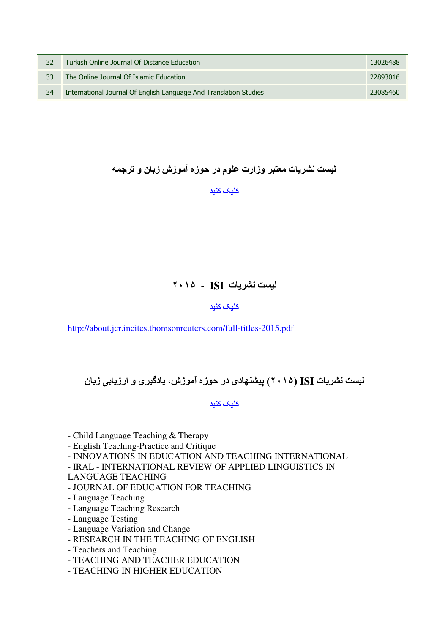| 32 | Turkish Online Journal Of Distance Education                      | 13026488 |
|----|-------------------------------------------------------------------|----------|
| 33 | The Online Journal Of Islamic Education                           | 22893016 |
| 34 | International Journal Of English Language And Translation Studies | 23085460 |

## ليست نشريات معتبر وزارت علوم در حوزه آموزش زبان و ترجمه

### کليک کنيد

### ليست نشريات **ISI -** ٢٠١۵

#### کليک کنيد

http://about.jcr.incites.thomsonreuters.com/full-titles-2015.pdf

## ليست نشريات **ISI** ) ٢٠١۵ (پيشنھادی در حوزه آموزش، يادگيری و ارزيابی زبان

#### کليک کنيد

- Child Language Teaching & Therapy

- English Teaching-Practice and Critique
- INNOVATIONS IN EDUCATION AND TEACHING INTERNATIONAL
- IRAL INTERNATIONAL REVIEW OF APPLIED LINGUISTICS IN
- LANGUAGE TEACHING
- JOURNAL OF EDUCATION FOR TEACHING
- Language Teaching
- Language Teaching Research
- Language Testing
- Language Variation and Change
- RESEARCH IN THE TEACHING OF ENGLISH
- Teachers and Teaching
- TEACHING AND TEACHER EDUCATION
- TEACHING IN HIGHER EDUCATION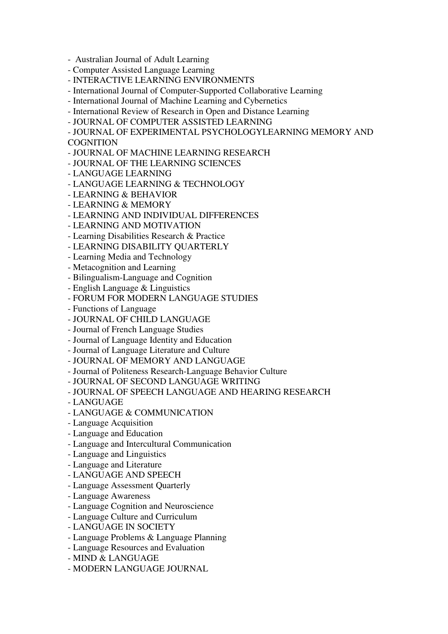- Australian Journal of Adult Learning
- Computer Assisted Language Learning
- INTERACTIVE LEARNING ENVIRONMENTS
- International Journal of Computer-Supported Collaborative Learning
- International Journal of Machine Learning and Cybernetics
- International Review of Research in Open and Distance Learning
- JOURNAL OF COMPUTER ASSISTED LEARNING

- JOURNAL OF EXPERIMENTAL PSYCHOLOGYLEARNING MEMORY AND **COGNITION** 

- JOURNAL OF MACHINE LEARNING RESEARCH
- JOURNAL OF THE LEARNING SCIENCES
- LANGUAGE LEARNING
- LANGUAGE LEARNING & TECHNOLOGY
- LEARNING & BEHAVIOR
- LEARNING & MEMORY
- LEARNING AND INDIVIDUAL DIFFERENCES
- LEARNING AND MOTIVATION
- Learning Disabilities Research & Practice
- LEARNING DISABILITY QUARTERLY
- Learning Media and Technology
- Metacognition and Learning
- Bilingualism-Language and Cognition
- English Language & Linguistics
- FORUM FOR MODERN LANGUAGE STUDIES
- Functions of Language
- JOURNAL OF CHILD LANGUAGE
- Journal of French Language Studies
- Journal of Language Identity and Education
- Journal of Language Literature and Culture
- JOURNAL OF MEMORY AND LANGUAGE
- Journal of Politeness Research-Language Behavior Culture
- JOURNAL OF SECOND LANGUAGE WRITING
- JOURNAL OF SPEECH LANGUAGE AND HEARING RESEARCH
- LANGUAGE
- LANGUAGE & COMMUNICATION
- Language Acquisition
- Language and Education
- Language and Intercultural Communication
- Language and Linguistics
- Language and Literature
- LANGUAGE AND SPEECH
- Language Assessment Quarterly
- Language Awareness
- Language Cognition and Neuroscience
- Language Culture and Curriculum
- LANGUAGE IN SOCIETY
- Language Problems & Language Planning
- Language Resources and Evaluation
- MIND & LANGUAGE
- MODERN LANGUAGE JOURNAL